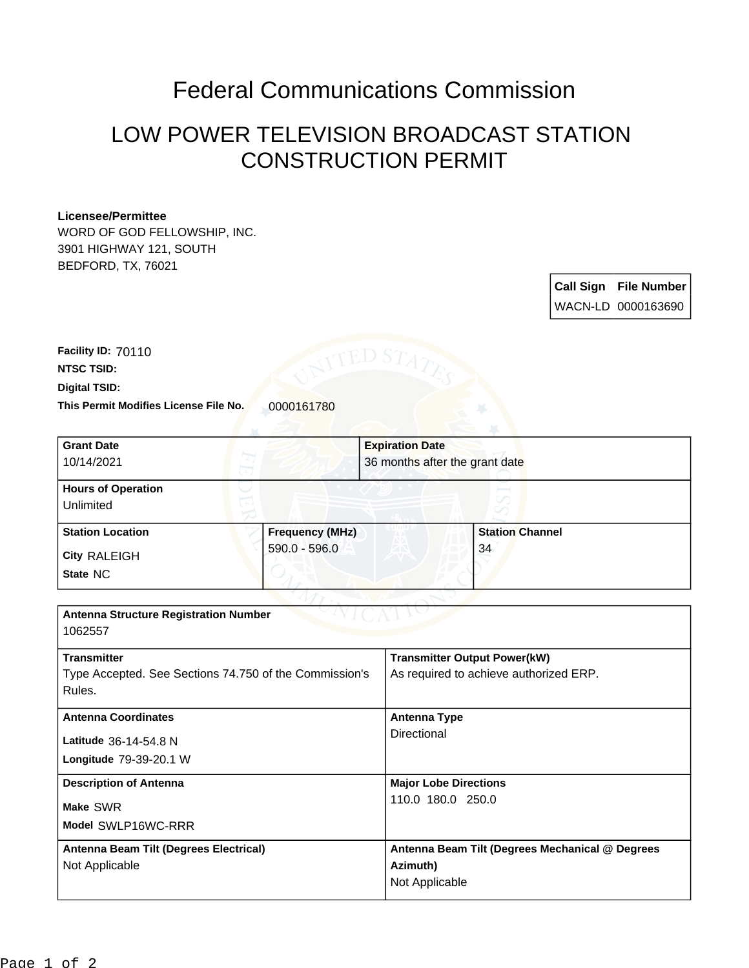## Federal Communications Commission

## LOW POWER TELEVISION BROADCAST STATION CONSTRUCTION PERMIT

## **Licensee/Permittee**

WORD OF GOD FELLOWSHIP, INC. 3901 HIGHWAY 121, SOUTH BEDFORD, TX, 76021

> **Call Sign File Number** WACN-LD 0000163690

**This Permit Modifies License File No.** 0000161780 **Digital TSID: NTSC TSID: Facility ID:** 70110

| <b>Grant Date</b>                                      |                        | <b>Expiration Date</b>         |                                                 |  |
|--------------------------------------------------------|------------------------|--------------------------------|-------------------------------------------------|--|
| 10/14/2021                                             |                        | 36 months after the grant date |                                                 |  |
| <b>Hours of Operation</b>                              |                        |                                |                                                 |  |
|                                                        |                        |                                |                                                 |  |
| Unlimited                                              |                        |                                |                                                 |  |
| <b>Station Location</b>                                | <b>Frequency (MHz)</b> |                                | <b>Station Channel</b>                          |  |
|                                                        | 590.0 - 596.0          |                                | 34                                              |  |
| <b>City RALEIGH</b>                                    |                        |                                |                                                 |  |
| State NC                                               |                        |                                |                                                 |  |
|                                                        |                        |                                |                                                 |  |
| <b>Antenna Structure Registration Number</b>           |                        |                                |                                                 |  |
| 1062557                                                |                        |                                |                                                 |  |
|                                                        |                        |                                |                                                 |  |
| <b>Transmitter</b>                                     |                        |                                | <b>Transmitter Output Power(kW)</b>             |  |
| Type Accepted. See Sections 74.750 of the Commission's |                        |                                | As required to achieve authorized ERP.          |  |
| Rules.                                                 |                        |                                |                                                 |  |
| <b>Antenna Coordinates</b>                             |                        |                                | <b>Antenna Type</b>                             |  |
|                                                        |                        | Directional                    |                                                 |  |
| Latitude 36-14-54.8 N                                  |                        |                                |                                                 |  |
| Longitude 79-39-20.1 W                                 |                        |                                |                                                 |  |
| <b>Description of Antenna</b>                          |                        |                                | <b>Major Lobe Directions</b>                    |  |
|                                                        |                        |                                | 110.0 180.0 250.0                               |  |
| Make SWR                                               |                        |                                |                                                 |  |
| Model SWLP16WC-RRR                                     |                        |                                |                                                 |  |
| Antenna Beam Tilt (Degrees Electrical)                 |                        |                                | Antenna Beam Tilt (Degrees Mechanical @ Degrees |  |
| Not Applicable                                         |                        | Azimuth)                       |                                                 |  |
|                                                        |                        |                                | Not Applicable                                  |  |
|                                                        |                        |                                |                                                 |  |